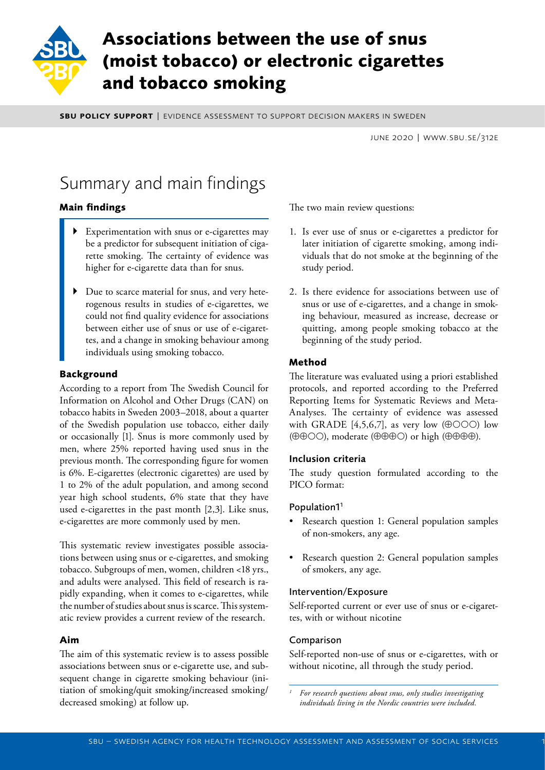

# **Associations between the use of snus (moist tobacco) or electronic cigarettes and tobacco smoking**

**SBU POLICY SUPPORT | EVIDENCE ASSESSMENT TO SUPPORT DECISION MAKERS IN SWEDEN** 

june 2020 | www.sbu.se/312e

# Summary and main findings

# **Main findings**

- Experimentation with snus or e-cigarettes may be a predictor for subsequent initiation of cigarette smoking. The certainty of evidence was higher for e-cigarette data than for snus.
- ` Due to scarce material for snus, and very heterogenous results in studies of e-cigarettes, we could not find quality evidence for associations between either use of snus or use of e-cigarettes, and a change in smoking behaviour among individuals using smoking tobacco.

## **Background**

According to a report from The Swedish Council for Information on Alcohol and Other Drugs (CAN) on tobacco habits in Sweden 2003–2018, about a quarter of the Swedish population use tobacco, either daily or occasionally [1]. Snus is more commonly used by men, where 25% reported having used snus in the previous month. The corresponding figure for women is 6%. E-cigarettes (electronic cigarettes) are used by 1 to 2% of the adult population, and among second year high school students, 6% state that they have used e-cigarettes in the past month [2,3]. Like snus, e-cigarettes are more commonly used by men.

This systematic review investigates possible associations between using snus or e-cigarettes, and smoking tobacco. Subgroups of men, women, children <18 yrs., and adults were analysed. This field of research is rapidly expanding, when it comes to e-cigarettes, while the number of studies about snus is scarce. This systematic review provides a current review of the research.

## **Aim**

The aim of this systematic review is to assess possible associations between snus or e-cigarette use, and subsequent change in cigarette smoking behaviour (initiation of smoking/quit smoking/increased smoking/ decreased smoking) at follow up.

The two main review questions:

- 1. Is ever use of snus or e-cigarettes a predictor for later initiation of cigarette smoking, among individuals that do not smoke at the beginning of the study period.
- 2. Is there evidence for associations between use of snus or use of e-cigarettes, and a change in smoking behaviour, measured as increase, decrease or quitting, among people smoking tobacco at the beginning of the study period.

# **Method**

The literature was evaluated using a priori established protocols, and reported according to the Preferred Reporting Items for Systematic Reviews and Meta-Analyses. The certainty of evidence was assessed with GRADE [4,5,6,7], as very low ( $\oplus$ OOO) low ( $\oplus$  $\oplus$ OO), moderate ( $\oplus$  $\oplus$  $\oplus$ O) or high ( $\oplus$  $\oplus$  $\oplus$ ).

## Inclusion criteria

The study question formulated according to the PICO format:

## Population11

- Research question 1: General population samples of non-smokers, any age.
- Research question 2: General population samples of smokers, any age.

#### Intervention/Exposure

Self-reported current or ever use of snus or e-cigarettes, with or without nicotine

## Comparison

Self-reported non-use of snus or e-cigarettes, with or without nicotine, all through the study period.

*<sup>1</sup> For research questions about snus, only studies investigating individuals living in the Nordic countries were included.*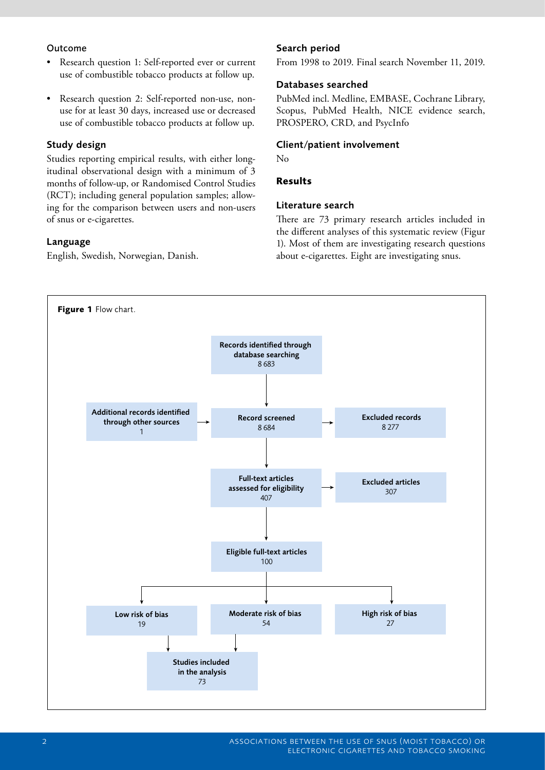#### Outcome

- Research question 1: Self-reported ever or current use of combustible tobacco products at follow up.
- Research question 2: Self-reported non-use, nonuse for at least 30 days, increased use or decreased use of combustible tobacco products at follow up.

## Study design

Studies reporting empirical results, with either longitudinal observational design with a minimum of 3 months of follow-up, or Randomised Control Studies (RCT); including general population samples; allowing for the comparison between users and non-users of snus or e-cigarettes.

## Language

English, Swedish, Norwegian, Danish.

## Search period

From 1998 to 2019. Final search November 11, 2019.

#### Databases searched

PubMed incl. Medline, EMBASE, Cochrane Library, Scopus, PubMed Health, NICE evidence search, PROSPERO, CRD, and PsycInfo

### Client/patient involvement

No

### **Results**

#### Literature search

There are 73 primary research articles included in the different analyses of this systematic review (Figur 1). Most of them are investigating research questions about e-cigarettes. Eight are investigating snus.

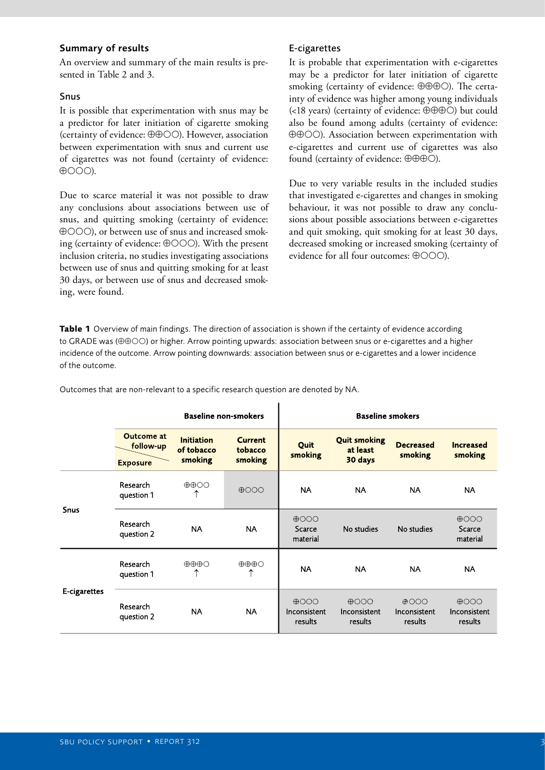#### Summary of results

An overview and summary of the main results is presented in Table 2 and 3.

#### Snus

It is possible that experimentation with snus may be a predictor for later initiation of cigarette smoking (certainty of evidence:  $\oplus \oplus \odot \odot$ ). However, association between experimentation with snus and current use of cigarettes was not found (certainty of evidence:  $\oplus$  OOO).

Due to scarce material it was not possible to draw any conclusions about associations between use of snus, and quitting smoking (certainty of evidence: ), or between use of snus and increased smoking (certainty of evidence:  $\oplus$ OOO). With the present inclusion criteria, no studies investigating associations between use of snus and quitting smoking for at least 30 days, or between use of snus and decreased smoking, were found.

### E-cigarettes

It is probable that experimentation with e-cigarettes may be a predictor for later initiation of cigarette smoking (certainty of evidence:  $\oplus \oplus \oplus \odot$ ). The certainty of evidence was higher among young individuals (<18 years) (certainty of evidence:  $\oplus \oplus \oplus \odot$ ) but could also be found among adults (certainty of evidence: ). Association between experimentation with e-cigarettes and current use of cigarettes was also found (certainty of evidence:  $\oplus \oplus \oplus \odot$ ).

Due to very variable results in the included studies that investigated e-cigarettes and changes in smoking behaviour, it was not possible to draw any conclusions about possible associations between e-cigarettes and quit smoking, quit smoking for at least 30 days, decreased smoking or increased smoking (certainty of evidence for all four outcomes:  $\oplus$ OOO).

**Table 1** Overview of main findings. The direction of association is shown if the certainty of evidence according to GRADE was  $(\oplus \oplus \odot \odot)$  or higher. Arrow pointing upwards: association between snus or e-cigarettes and a higher incidence of the outcome. Arrow pointing downwards: association between snus or e-cigarettes and a lower incidence of the outcome.

|              | <b>Baseline non-smokers</b>                |                                            |                                      | <b>Baseline smokers</b>                    |                                                              |                                            |                                            |
|--------------|--------------------------------------------|--------------------------------------------|--------------------------------------|--------------------------------------------|--------------------------------------------------------------|--------------------------------------------|--------------------------------------------|
|              | Outcome at<br>follow-up<br><b>Exposure</b> | <b>Initiation</b><br>of tobacco<br>smoking | <b>Current</b><br>tobacco<br>smoking | Quit<br>smoking                            | <b>Quit smoking</b><br>at least<br>30 days                   | <b>Decreased</b><br>smoking                | <b>Increased</b><br>smoking                |
|              | Research                                   | $\oplus$ $\oplus$ OO                       |                                      |                                            |                                                              |                                            |                                            |
| <b>Snus</b>  | question 1                                 |                                            | $\bigoplus$ OOO                      | <b>NA</b>                                  | <b>NA</b>                                                    | <b>NA</b>                                  | <b>NA</b>                                  |
|              | Research<br>question 2                     | <b>NA</b>                                  | <b>NA</b>                            | $\bigoplus$ OOO<br>Scarce<br>material      | No studies                                                   | No studies                                 | $\bigoplus$<br>Scarce<br>material          |
| E-cigarettes | Research<br>question 1                     | $\oplus \oplus \oplus \bigcirc$            | $\oplus \oplus \oplus \bigcirc$<br>↑ | <b>NA</b>                                  | <b>NA</b>                                                    | <b>NA</b>                                  | <b>NA</b>                                  |
|              | Research<br>question 2                     | <b>NA</b>                                  | <b>NA</b>                            | $\bigoplus$ OOO<br>Inconsistent<br>results | $\bigoplus$ $\bigodot$ $\bigodot$<br>Inconsistent<br>results | $\bigoplus$ OOO<br>Inconsistent<br>results | $\bigoplus$ OOO<br>Inconsistent<br>results |

Outcomes that are non-relevant to a specific research question are denoted by NA.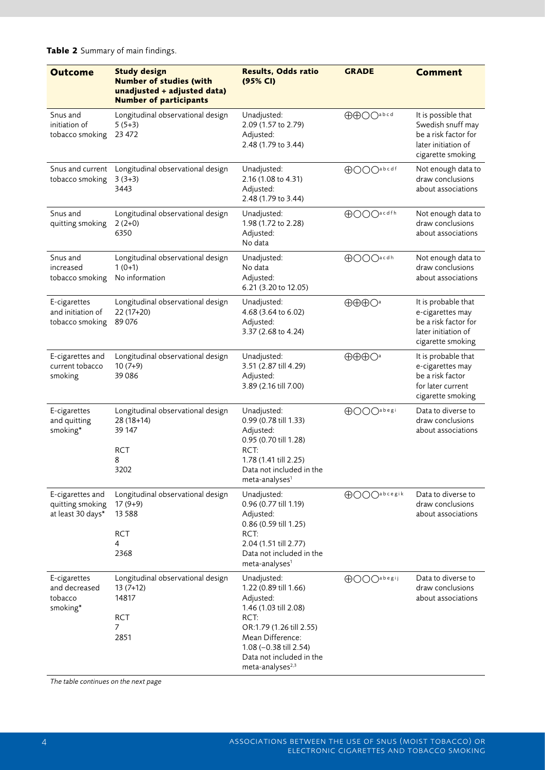| <b>Outcome</b>                                            | <b>Study design</b><br><b>Number of studies (with</b><br>unadjusted + adjusted data)<br><b>Number of participants</b> | <b>Results, Odds ratio</b><br>(95% CI)                                                                                                                                                                                   | <b>GRADE</b>                                 | <b>Comment</b>                                                                                               |
|-----------------------------------------------------------|-----------------------------------------------------------------------------------------------------------------------|--------------------------------------------------------------------------------------------------------------------------------------------------------------------------------------------------------------------------|----------------------------------------------|--------------------------------------------------------------------------------------------------------------|
| Snus and<br>initiation of<br>tobacco smoking              | Longitudinal observational design<br>$5(5+3)$<br>23 472                                                               | Unadjusted:<br>2.09 (1.57 to 2.79)<br>Adjusted:<br>2.48 (1.79 to 3.44)                                                                                                                                                   | <b>AAOO</b> abcd                             | It is possible that<br>Swedish snuff may<br>be a risk factor for<br>later initiation of<br>cigarette smoking |
| Snus and current<br>tobacco smoking                       | Longitudinal observational design<br>$3(3+3)$<br>3443                                                                 | Unadjusted:<br>2.16 (1.08 to 4.31)<br>Adjusted:<br>2.48 (1.79 to 3.44)                                                                                                                                                   | <b>AOOO</b> abcdf                            | Not enough data to<br>draw conclusions<br>about associations                                                 |
| Snus and<br>quitting smoking                              | Longitudinal observational design<br>$2(2+0)$<br>6350                                                                 | Unadjusted:<br>1.98 (1.72 to 2.28)<br>Adjusted:<br>No data                                                                                                                                                               | <b>OOO</b> acdfh                             | Not enough data to<br>draw conclusions<br>about associations                                                 |
| Snus and<br>increased<br>tobacco smoking                  | Longitudinal observational design<br>$1(0+1)$<br>No information                                                       | Unadjusted:<br>No data<br>Adjusted:<br>6.21 (3.20 to 12.05)                                                                                                                                                              | <b>AOOO</b> acdh                             | Not enough data to<br>draw conclusions<br>about associations                                                 |
| E-cigarettes<br>and initiation of<br>tobacco smoking      | Longitudinal observational design<br>22 (17+20)<br>89076                                                              | Unadjusted:<br>4.68 (3.64 to 6.02)<br>Adjusted:<br>3.37 (2.68 to 4.24)                                                                                                                                                   | $\oplus\oplus\oplus$ $\bigcirc$ <sup>a</sup> | It is probable that<br>e-cigarettes may<br>be a risk factor for<br>later initiation of<br>cigarette smoking  |
| E-cigarettes and<br>current tobacco<br>smoking            | Longitudinal observational design<br>$10(7+9)$<br>39086                                                               | Unadjusted:<br>3.51 (2.87 till 4.29)<br>Adjusted:<br>3.89 (2.16 till 7.00)                                                                                                                                               | $\oplus\oplus\oplus$ <sup>a</sup>            | It is probable that<br>e-cigarettes may<br>be a risk factor<br>for later current<br>cigarette smoking        |
| E-cigarettes<br>and quitting<br>smoking*                  | Longitudinal observational design<br>$28(18+14)$<br>39 147<br><b>RCT</b><br>8<br>3202                                 | Unadjusted:<br>0.99 (0.78 till 1.33)<br>Adjusted:<br>0.95 (0.70 till 1.28)<br>RCT:<br>1.78 (1.41 till 2.25)<br>Data not included in the<br>meta-analyses <sup>1</sup>                                                    | <b>AOOO</b> abegi                            | Data to diverse to<br>draw conclusions<br>about associations                                                 |
| E-cigarettes and<br>quitting smoking<br>at least 30 days* | Longitudinal observational design<br>$17(9+9)$<br>13 5 8 8<br><b>RCT</b><br>4<br>2368                                 | Unadjusted:<br>0.96 (0.77 till 1.19)<br>Adjusted:<br>0.86 (0.59 till 1.25)<br>RCT:<br>2.04 (1.51 till 2.77)<br>Data not included in the<br>meta-analyses <sup>1</sup>                                                    | <b>AOOO</b> abcegik                          | Data to diverse to<br>draw conclusions<br>about associations                                                 |
| E-cigarettes<br>and decreased<br>tobacco<br>smoking*      | Longitudinal observational design<br>$13(7+12)$<br>14817<br><b>RCT</b><br>7<br>2851                                   | Unadjusted:<br>1.22 (0.89 till 1.66)<br>Adjusted:<br>1.46 (1.03 till 2.08)<br>RCT:<br>OR:1.79 (1.26 till 2.55)<br>Mean Difference:<br>1.08 (-0.38 till 2.54)<br>Data not included in the<br>meta-analyses <sup>2,3</sup> | <b>OOO</b> abegij                            | Data to diverse to<br>draw conclusions<br>about associations                                                 |

**Table 2** Summary of main findings.

*The table continues on the next page*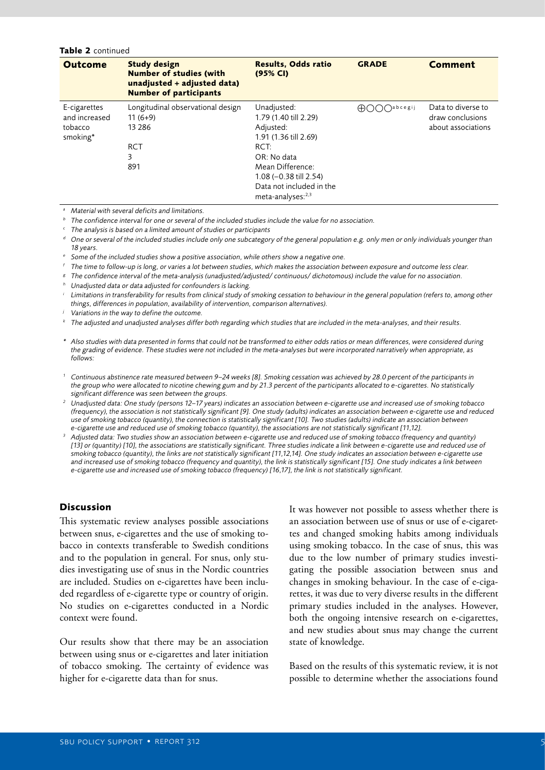#### **Table 2** continued

| <b>Outcome</b>                                       | <b>Study design</b><br><b>Number of studies (with</b><br>unadjusted + adjusted data)<br><b>Number of participants</b> | <b>Results, Odds ratio</b><br>(95% CI)                                                                                                                                                                         | <b>GRADE</b>                      | <b>Comment</b>                                               |
|------------------------------------------------------|-----------------------------------------------------------------------------------------------------------------------|----------------------------------------------------------------------------------------------------------------------------------------------------------------------------------------------------------------|-----------------------------------|--------------------------------------------------------------|
| E-cigarettes<br>and increased<br>tobacco<br>smoking* | Longitudinal observational design<br>$11(6+9)$<br>13 2 8 6<br><b>RCT</b><br>3<br>891                                  | Unadjusted:<br>1.79 (1.40 till 2.29)<br>Adjusted:<br>1.91 (1.36 till 2.69)<br>RCT:<br>OR: No data<br>Mean Difference:<br>$1.08$ (-0.38 till 2.54)<br>Data not included in the<br>meta-analyses: <sup>2,3</sup> | $\bigcap$ abcegij<br>$\oplus$ ( ) | Data to diverse to<br>draw conclusions<br>about associations |

*<sup>a</sup> Material with several deficits and limitations.*

*<sup>b</sup> The confidence interval for one or several of the included studies include the value for no association.*

*<sup>c</sup> The analysis is based on a limited amount of studies or participants*

*<sup>d</sup> One or several of the included studies include only one subcategory of the general population e.g. only men or only individuals younger than 18 years.*

*<sup>e</sup> Some of the included studies show a positive association, while others show a negative one.*

The time to follow-up is long, or varies a lot between studies, which makes the association between exposure and outcome less clear.<br><sup>8</sup> The confidence interval of the meta-analysis (unadjusted/adjusted/ continuous/ dichot *things, differences in population, availability of intervention, comparison alternatives).*

*<sup>j</sup> Variations in the way to define the outcome.*

*<sup>k</sup> The adjusted and unadjusted analyses differ both regarding which studies that are included in the meta-analyses, and their results.*

- *\* Also studies with data presented in forms that could not be transformed to either odds ratios or mean differences, were considered during the grading of evidence. These studies were not included in the meta-analyses but were incorporated narratively when appropriate, as follows:*
- *<sup>1</sup> Continuous abstinence rate measured between 9–24 weeks [8]. Smoking cessation was achieved by 28.0 percent of the participants in the group who were allocated to nicotine chewing gum and by 21.3 percent of the participants allocated to e-cigarettes. No statistically significant difference was seen between the groups.*
- *<sup>2</sup> Unadjusted data: One study (persons 12–17 years) indicates an association between e-cigarette use and increased use of smoking tobacco (frequency), the association is not statistically significant [9]. One study (adults) indicates an association between e-cigarette use and reduced use of smoking tobacco (quantity), the connection is statistically significant [10]. Two studies (adults) indicate an association between e-cigarette use and reduced use of smoking tobacco (quantity), the associations are not statistically significant [11,12].*
- *<sup>3</sup> Adjusted data: Two studies show an association between e-cigarette use and reduced use of smoking tobacco (frequency and quantity)*  [13] or (quantity) [10], the associations are statistically significant. Three studies indicate a link between e-cigarette use and reduced use of *smoking tobacco (quantity), the links are not statistically significant [11,12,14]. One study indicates an association between e-cigarette use*  and increased use of smoking tobacco (frequency and quantity), the link is statistically significant [15]. One study indicates a link between *e-cigarette use and increased use of smoking tobacco (frequency) [16,17], the link is not statistically significant.*

#### **Discussion**

This systematic review analyses possible associations between snus, e-cigarettes and the use of smoking tobacco in contexts transferable to Swedish conditions and to the population in general. For snus, only studies investigating use of snus in the Nordic countries are included. Studies on e-cigarettes have been included regardless of e-cigarette type or country of origin. No studies on e-cigarettes conducted in a Nordic context were found.

Our results show that there may be an association between using snus or e-cigarettes and later initiation of tobacco smoking. The certainty of evidence was higher for e-cigarette data than for snus.

It was however not possible to assess whether there is an association between use of snus or use of e-cigarettes and changed smoking habits among individuals using smoking tobacco. In the case of snus, this was due to the low number of primary studies investigating the possible association between snus and changes in smoking behaviour. In the case of e-cigarettes, it was due to very diverse results in the different primary studies included in the analyses. However, both the ongoing intensive research on e-cigarettes, and new studies about snus may change the current state of knowledge.

Based on the results of this systematic review, it is not possible to determine whether the associations found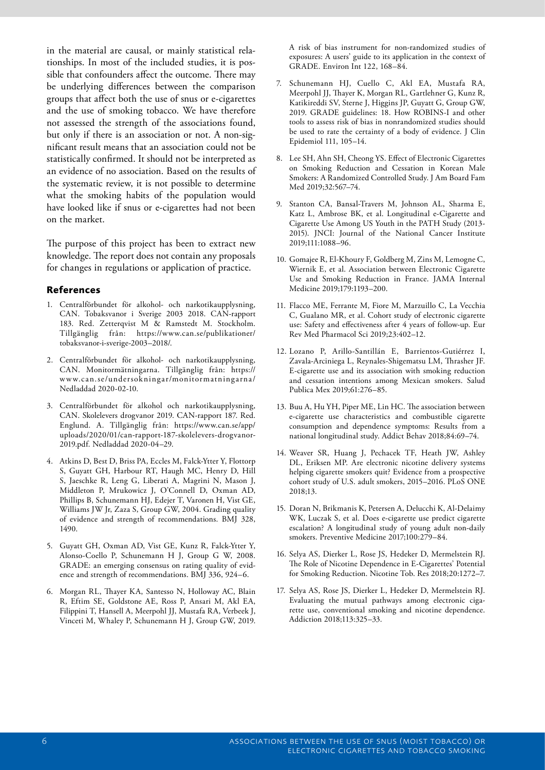in the material are causal, or mainly statistical relationships. In most of the included studies, it is possible that confounders affect the outcome. There may be underlying differences between the comparison groups that affect both the use of snus or e-cigarettes and the use of smoking tobacco. We have therefore not assessed the strength of the associations found, but only if there is an association or not. A non-significant result means that an association could not be statistically confirmed. It should not be interpreted as an evidence of no association. Based on the results of the systematic review, it is not possible to determine what the smoking habits of the population would have looked like if snus or e-cigarettes had not been on the market.

The purpose of this project has been to extract new knowledge. The report does not contain any proposals for changes in regulations or application of practice.

#### **References**

- 1. Centralförbundet för alkohol- och narkotikaupplysning, CAN. Tobaksvanor i Sverige 2003 2018. CAN-rapport 183. Red. Zetterqvist M & Ramstedt M. Stockholm. Tillgänglig från: https://www.can.se/publikationer/ tobaksvanor-i-sverige-2003–2018/.
- 2. Centralförbundet för alkohol- och narkotikaupplysning, CAN. Monitormätningarna. Tillgänglig från: https:// www.can.se/undersokningar/monitormatningarna/ Nedladdad 2020-02-10.
- 3. Centralförbundet för alkohol och narkotikaupplysning, CAN. Skolelevers drogvanor 2019. CAN-rapport 187. Red. Englund. A. Tillgänglig från: https://www.can.se/app/ uploads/2020/01/can-rapport-187-skolelevers-drogvanor-2019.pdf. Nedladdad 2020-04–29.
- 4. Atkins D, Best D, Briss PA, Eccles M, Falck-Ytter Y, Flottorp S, Guyatt GH, Harbour RT, Haugh MC, Henry D, Hill S, Jaeschke R, Leng G, Liberati A, Magrini N, Mason J, Middleton P, Mrukowicz J, O'Connell D, Oxman AD, Phillips B, Schunemann HJ, Edejer T, Varonen H, Vist GE, Williams JW Jr, Zaza S, Group GW, 2004. Grading quality of evidence and strength of recommendations. BMJ 328, 1490.
- 5. Guyatt GH, Oxman AD, Vist GE, Kunz R, Falck-Ytter Y, Alonso-Coello P, Schunemann H J, Group G W, 2008. GRADE: an emerging consensus on rating quality of evidence and strength of recommendations. BMJ 336, 924–6.
- 6. Morgan RL, Thayer KA, Santesso N, Holloway AC, Blain R, Eftim SE, Goldstone AE, Ross P, Ansari M, Akl EA, Filippini T, Hansell A, Meerpohl JJ, Mustafa RA, Verbeek J, Vinceti M, Whaley P, Schunemann H J, Group GW, 2019.

A risk of bias instrument for non-randomized studies of exposures: A users' guide to its application in the context of GRADE. Environ Int 122, 168–84.

- 7. Schunemann HJ, Cuello C, Akl EA, Mustafa RA, Meerpohl JJ, Thayer K, Morgan RL, Gartlehner G, Kunz R, Katikireddi SV, Sterne J, Higgins JP, Guyatt G, Group GW, 2019. GRADE guidelines: 18. How ROBINS-I and other tools to assess risk of bias in nonrandomized studies should be used to rate the certainty of a body of evidence. J Clin Epidemiol 111, 105–14.
- 8. Lee SH, Ahn SH, Cheong YS. Effect of Electronic Cigarettes on Smoking Reduction and Cessation in Korean Male Smokers: A Randomized Controlled Study. J Am Board Fam Med 2019;32:567–74.
- 9. Stanton CA, Bansal-Travers M, Johnson AL, Sharma E, Katz L, Ambrose BK, et al. Longitudinal e-Cigarette and Cigarette Use Among US Youth in the PATH Study (2013- 2015). JNCI: Journal of the National Cancer Institute 2019;111:1088–96.
- 10. Gomajee R, El-Khoury F, Goldberg M, Zins M, Lemogne C, Wiernik E, et al. Association between Electronic Cigarette Use and Smoking Reduction in France. JAMA Internal Medicine 2019;179:1193–200.
- 11. Flacco ME, Ferrante M, Fiore M, Marzuillo C, La Vecchia C, Gualano MR, et al. Cohort study of electronic cigarette use: Safety and effectiveness after 4 years of follow-up. Eur Rev Med Pharmacol Sci 2019;23:402–12.
- 12. Lozano P, Arillo-Santillán E, Barrientos-Gutiérrez I, Zavala-Arciniega L, Reynales-Shigematsu LM, Thrasher JF. E-cigarette use and its association with smoking reduction and cessation intentions among Mexican smokers. Salud Publica Mex 2019;61:276–85.
- 13. Buu A, Hu YH, Piper ME, Lin HC. The association between e-cigarette use characteristics and combustible cigarette consumption and dependence symptoms: Results from a national longitudinal study. Addict Behav 2018;84:69–74.
- 14. Weaver SR, Huang J, Pechacek TF, Heath JW, Ashley DL, Eriksen MP. Are electronic nicotine delivery systems helping cigarette smokers quit? Evidence from a prospective cohort study of U.S. adult smokers, 2015–2016. PLoS ONE 2018;13.
- 15. Doran N, Brikmanis K, Petersen A, Delucchi K, Al-Delaimy WK, Luczak S, et al. Does e-cigarette use predict cigarette escalation? A longitudinal study of young adult non-daily smokers. Preventive Medicine 2017;100:279–84.
- 16. Selya AS, Dierker L, Rose JS, Hedeker D, Mermelstein RJ. The Role of Nicotine Dependence in E-Cigarettes' Potential for Smoking Reduction. Nicotine Tob. Res 2018;20:1272–7.
- 17. Selya AS, Rose JS, Dierker L, Hedeker D, Mermelstein RJ. Evaluating the mutual pathways among electronic cigarette use, conventional smoking and nicotine dependence. Addiction 2018;113:325–33.